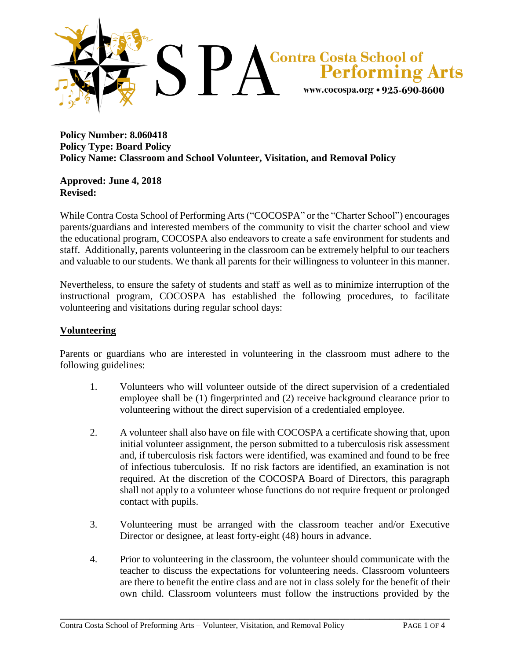

### **Policy Number: 8.060418 Policy Type: Board Policy Policy Name: Classroom and School Volunteer, Visitation, and Removal Policy**

### **Approved: June 4, 2018 Revised:**

While Contra Costa School of Performing Arts ("COCOSPA" or the "Charter School") encourages parents/guardians and interested members of the community to visit the charter school and view the educational program, COCOSPA also endeavors to create a safe environment for students and staff. Additionally, parents volunteering in the classroom can be extremely helpful to our teachers and valuable to our students. We thank all parents for their willingness to volunteer in this manner.

Nevertheless, to ensure the safety of students and staff as well as to minimize interruption of the instructional program, COCOSPA has established the following procedures, to facilitate volunteering and visitations during regular school days:

## **Volunteering**

Parents or guardians who are interested in volunteering in the classroom must adhere to the following guidelines:

- 1. Volunteers who will volunteer outside of the direct supervision of a credentialed employee shall be (1) fingerprinted and (2) receive background clearance prior to volunteering without the direct supervision of a credentialed employee.
- 2. A volunteer shall also have on file with COCOSPA a certificate showing that, upon initial volunteer assignment, the person submitted to a tuberculosis risk assessment and, if tuberculosis risk factors were identified, was examined and found to be free of infectious tuberculosis. If no risk factors are identified, an examination is not required. At the discretion of the COCOSPA Board of Directors, this paragraph shall not apply to a volunteer whose functions do not require frequent or prolonged contact with pupils.
- 3. Volunteering must be arranged with the classroom teacher and/or Executive Director or designee, at least forty-eight (48) hours in advance.
- 4. Prior to volunteering in the classroom, the volunteer should communicate with the teacher to discuss the expectations for volunteering needs. Classroom volunteers are there to benefit the entire class and are not in class solely for the benefit of their own child. Classroom volunteers must follow the instructions provided by the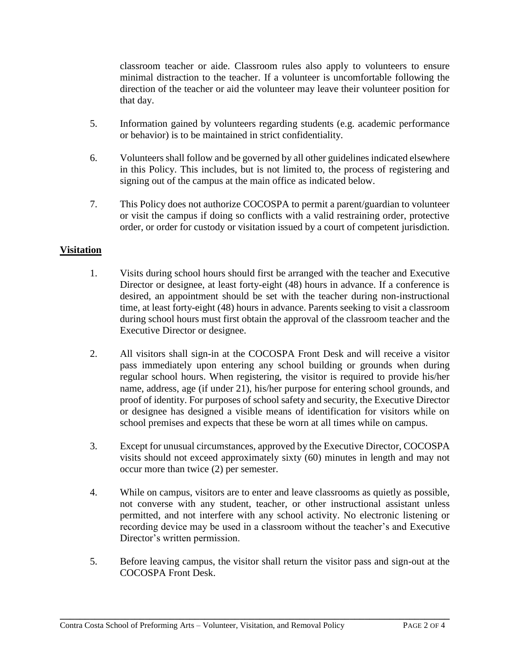classroom teacher or aide. Classroom rules also apply to volunteers to ensure minimal distraction to the teacher. If a volunteer is uncomfortable following the direction of the teacher or aid the volunteer may leave their volunteer position for that day.

- 5. Information gained by volunteers regarding students (e.g. academic performance or behavior) is to be maintained in strict confidentiality.
- 6. Volunteers shall follow and be governed by all other guidelines indicated elsewhere in this Policy. This includes, but is not limited to, the process of registering and signing out of the campus at the main office as indicated below.
- 7. This Policy does not authorize COCOSPA to permit a parent/guardian to volunteer or visit the campus if doing so conflicts with a valid restraining order, protective order, or order for custody or visitation issued by a court of competent jurisdiction.

# **Visitation**

- 1. Visits during school hours should first be arranged with the teacher and Executive Director or designee, at least forty-eight (48) hours in advance. If a conference is desired, an appointment should be set with the teacher during non-instructional time, at least forty-eight (48) hours in advance. Parents seeking to visit a classroom during school hours must first obtain the approval of the classroom teacher and the Executive Director or designee.
- 2. All visitors shall sign-in at the COCOSPA Front Desk and will receive a visitor pass immediately upon entering any school building or grounds when during regular school hours. When registering, the visitor is required to provide his/her name, address, age (if under 21), his/her purpose for entering school grounds, and proof of identity. For purposes of school safety and security, the Executive Director or designee has designed a visible means of identification for visitors while on school premises and expects that these be worn at all times while on campus.
- 3. Except for unusual circumstances, approved by the Executive Director, COCOSPA visits should not exceed approximately sixty (60) minutes in length and may not occur more than twice (2) per semester.
- 4. While on campus, visitors are to enter and leave classrooms as quietly as possible, not converse with any student, teacher, or other instructional assistant unless permitted, and not interfere with any school activity. No electronic listening or recording device may be used in a classroom without the teacher's and Executive Director's written permission.
- 5. Before leaving campus, the visitor shall return the visitor pass and sign-out at the COCOSPA Front Desk.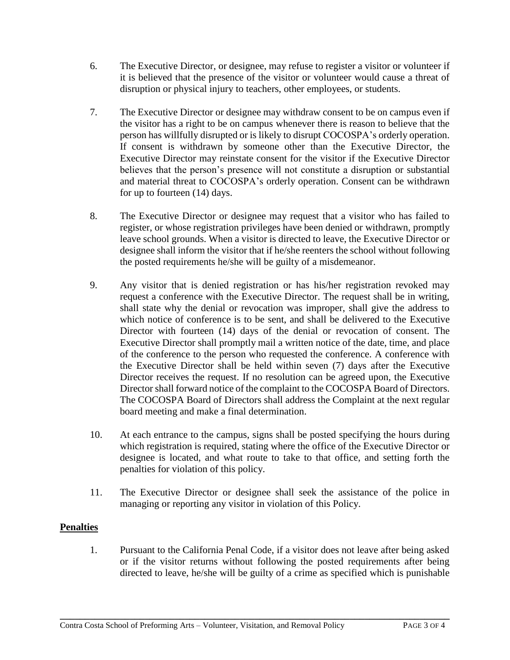- 6. The Executive Director, or designee, may refuse to register a visitor or volunteer if it is believed that the presence of the visitor or volunteer would cause a threat of disruption or physical injury to teachers, other employees, or students.
- 7. The Executive Director or designee may withdraw consent to be on campus even if the visitor has a right to be on campus whenever there is reason to believe that the person has willfully disrupted or is likely to disrupt COCOSPA's orderly operation. If consent is withdrawn by someone other than the Executive Director, the Executive Director may reinstate consent for the visitor if the Executive Director believes that the person's presence will not constitute a disruption or substantial and material threat to COCOSPA's orderly operation. Consent can be withdrawn for up to fourteen (14) days.
- 8. The Executive Director or designee may request that a visitor who has failed to register, or whose registration privileges have been denied or withdrawn, promptly leave school grounds. When a visitor is directed to leave, the Executive Director or designee shall inform the visitor that if he/she reenters the school without following the posted requirements he/she will be guilty of a misdemeanor.
- 9. Any visitor that is denied registration or has his/her registration revoked may request a conference with the Executive Director. The request shall be in writing, shall state why the denial or revocation was improper, shall give the address to which notice of conference is to be sent, and shall be delivered to the Executive Director with fourteen (14) days of the denial or revocation of consent. The Executive Director shall promptly mail a written notice of the date, time, and place of the conference to the person who requested the conference. A conference with the Executive Director shall be held within seven (7) days after the Executive Director receives the request. If no resolution can be agreed upon, the Executive Directorshall forward notice of the complaint to the COCOSPA Board of Directors. The COCOSPA Board of Directors shall address the Complaint at the next regular board meeting and make a final determination.
- 10. At each entrance to the campus, signs shall be posted specifying the hours during which registration is required, stating where the office of the Executive Director or designee is located, and what route to take to that office, and setting forth the penalties for violation of this policy.
- 11. The Executive Director or designee shall seek the assistance of the police in managing or reporting any visitor in violation of this Policy.

# **Penalties**

1. Pursuant to the California Penal Code, if a visitor does not leave after being asked or if the visitor returns without following the posted requirements after being directed to leave, he/she will be guilty of a crime as specified which is punishable